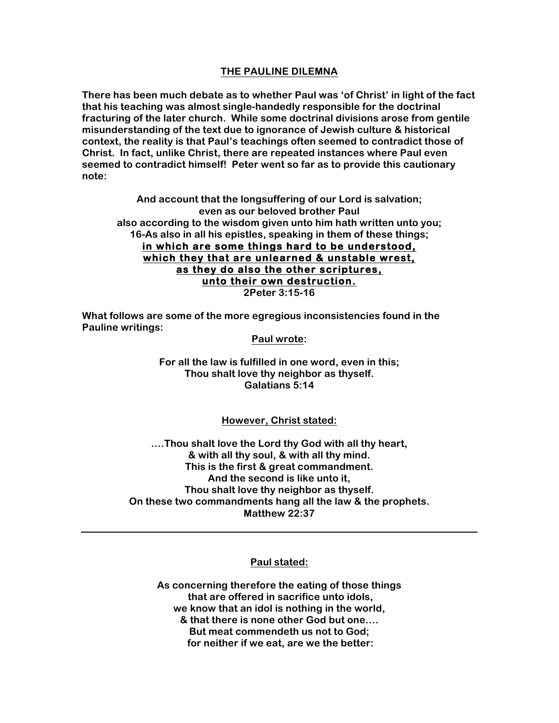# **THE PAULINE DILEMNA**

**There has been much debate as to whether Paul was 'of Christ' in light of the fact that his teaching was almost single-handedly responsible for the doctrinal fracturing of the later church. While some doctrinal divisions arose from gentile misunderstanding of the text due to ignorance of Jewish culture & historical context, the reality is that Paul's teachings often seemed to contradict those of Christ. In fact, unlike Christ, there are repeated instances where Paul even seemed to contradict himself! Peter went so far as to provide this cautionary note:**

**And account that the longsuffering of our Lord is salvation; even as our beloved brother Paul also according to the wisdom given unto him hath written unto you; 16-As also in all his epistles, speaking in them of these things; in which are some things hard to be understood, which they that are unlearned & unstable wrest, as they do also the other scriptures, unto their own destruction. 2Peter 3:15-16**

**What follows are some of the more egregious inconsistencies found in the Pauline writings:**

### **Paul wrote:**

**For all the law is fulfilled in one word, even in this; Thou shalt love thy neighbor as thyself. Galatians 5:14**

# **However, Christ stated:**

**….Thou shalt love the Lord thy God with all thy heart, & with all thy soul, & with all thy mind. This is the first & great commandment. And the second is like unto it, Thou shalt love thy neighbor as thyself. On these two commandments hang all the law & the prophets. Matthew 22:37**

# **Paul stated:**

**As concerning therefore the eating of those things that are offered in sacrifice unto idols, we know that an idol is nothing in the world,** 

**& that there is none other God but one…. But meat commendeth us not to God; for neither if we eat, are we the better:**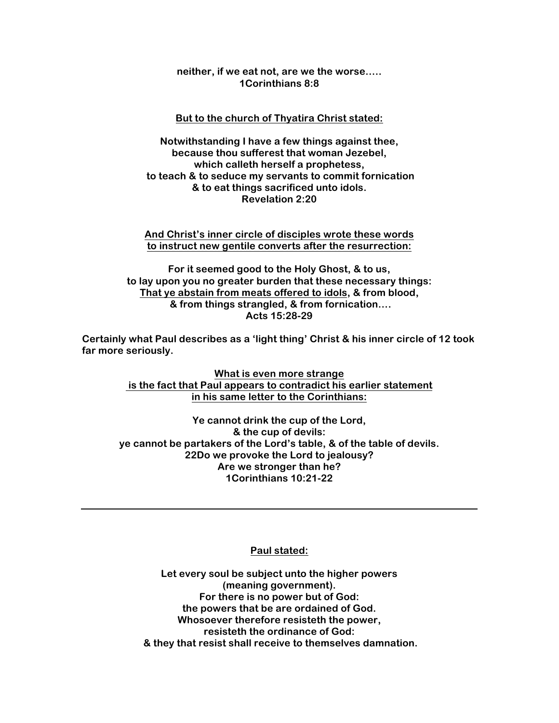### **neither, if we eat not, are we the worse….. 1Corinthians 8:8**

### **But to the church of Thyatira Christ stated:**

**Notwithstanding I have a few things against thee, because thou sufferest that woman Jezebel, which calleth herself a prophetess, to teach & to seduce my servants to commit fornication & to eat things sacrificed unto idols. Revelation 2:20**

#### **And Christ's inner circle of disciples wrote these words to instruct new gentile converts after the resurrection:**

**For it seemed good to the Holy Ghost, & to us, to lay upon you no greater burden that these necessary things: That ye abstain from meats offered to idols, & from blood, & from things strangled, & from fornication…. Acts 15:28-29**

**Certainly what Paul describes as a 'light thing' Christ & his inner circle of 12 took far more seriously.**

> **What is even more strange is the fact that Paul appears to contradict his earlier statement in his same letter to the Corinthians:**

**Ye cannot drink the cup of the Lord, & the cup of devils: ye cannot be partakers of the Lord's table, & of the table of devils. 22Do we provoke the Lord to jealousy? Are we stronger than he? 1Corinthians 10:21-22**

# **Paul stated:**

**Let every soul be subject unto the higher powers (meaning government). For there is no power but of God: the powers that be are ordained of God. Whosoever therefore resisteth the power, resisteth the ordinance of God: & they that resist shall receive to themselves damnation.**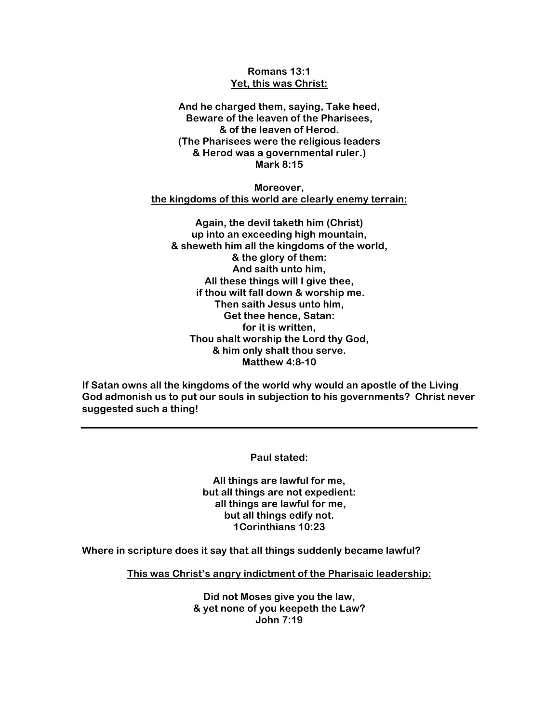# **Romans 13:1 Yet, this was Christ:**

**And he charged them, saying, Take heed, Beware of the leaven of the Pharisees, & of the leaven of Herod. (The Pharisees were the religious leaders & Herod was a governmental ruler.) Mark 8:15**

**Moreover, the kingdoms of this world are clearly enemy terrain:**

**Again, the devil taketh him (Christ) up into an exceeding high mountain, & sheweth him all the kingdoms of the world, & the glory of them: And saith unto him, All these things will I give thee, if thou wilt fall down & worship me. Then saith Jesus unto him, Get thee hence, Satan: for it is written, Thou shalt worship the Lord thy God, & him only shalt thou serve. Matthew 4:8-10**

**If Satan owns all the kingdoms of the world why would an apostle of the Living God admonish us to put our souls in subjection to his governments? Christ never suggested such a thing!**

**Paul stated:**

**All things are lawful for me, but all things are not expedient: all things are lawful for me, but all things edify not. 1Corinthians 10:23**

**Where in scripture does it say that all things suddenly became lawful?**

**This was Christ's angry indictment of the Pharisaic leadership:**

**Did not Moses give you the law, & yet none of you keepeth the Law? John 7:19**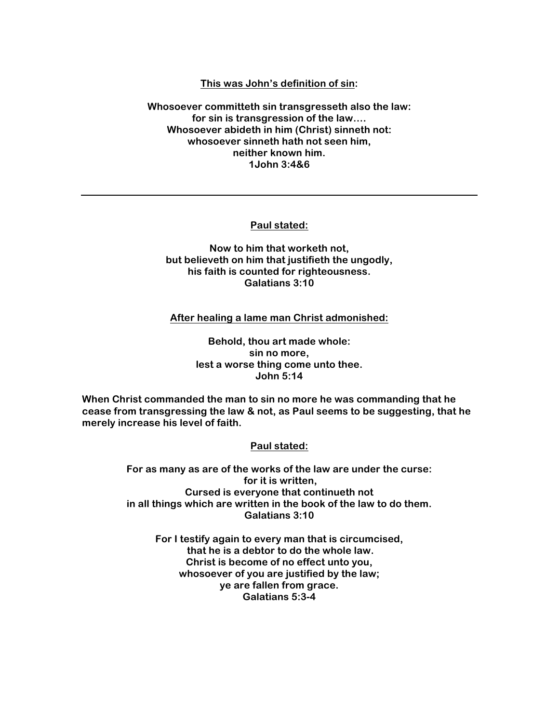# **This was John's definition of sin:**

**Whosoever committeth sin transgresseth also the law: for sin is transgression of the law…. Whosoever abideth in him (Christ) sinneth not: whosoever sinneth hath not seen him, neither known him. 1John 3:4&6**

**Paul stated:**

# **Now to him that worketh not, but believeth on him that justifieth the ungodly, his faith is counted for righteousness. Galatians 3:10**

**After healing a lame man Christ admonished:**

**Behold, thou art made whole: sin no more, lest a worse thing come unto thee. John 5:14**

**When Christ commanded the man to sin no more he was commanding that he cease from transgressing the law & not, as Paul seems to be suggesting, that he merely increase his level of faith.**

**Paul stated:**

**For as many as are of the works of the law are under the curse: for it is written, Cursed is everyone that continueth not in all things which are written in the book of the law to do them. Galatians 3:10**

**For I testify again to every man that is circumcised, that he is a debtor to do the whole law. Christ is become of no effect unto you, whosoever of you are justified by the law; ye are fallen from grace. Galatians 5:3-4**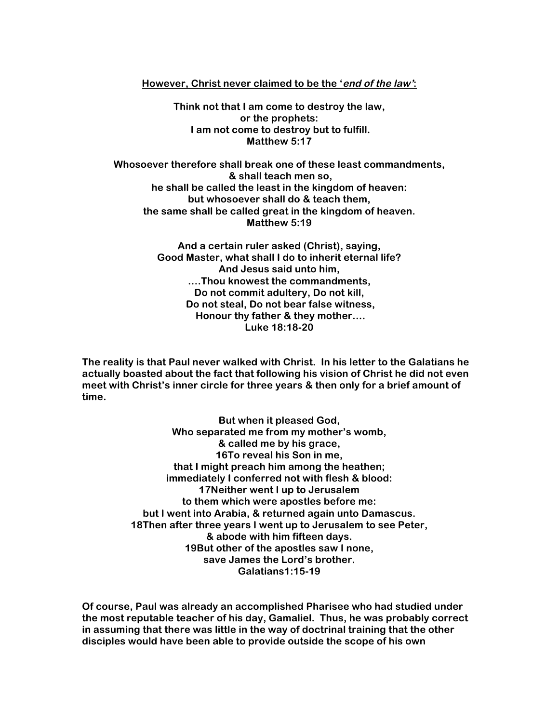# **However, Christ never claimed to be the 'end of the law':**

**Think not that I am come to destroy the law, or the prophets: I am not come to destroy but to fulfill. Matthew 5:17**

**Whosoever therefore shall break one of these least commandments, & shall teach men so, he shall be called the least in the kingdom of heaven: but whosoever shall do & teach them, the same shall be called great in the kingdom of heaven. Matthew 5:19**

> **And a certain ruler asked (Christ), saying, Good Master, what shall I do to inherit eternal life? And Jesus said unto him, ….Thou knowest the commandments, Do not commit adultery, Do not kill, Do not steal, Do not bear false witness, Honour thy father & they mother…. Luke 18:18-20**

**The reality is that Paul never walked with Christ. In his letter to the Galatians he actually boasted about the fact that following his vision of Christ he did not even meet with Christ's inner circle for three years & then only for a brief amount of time.**

> **But when it pleased God, Who separated me from my mother's womb, & called me by his grace, 16To reveal his Son in me, that I might preach him among the heathen; immediately I conferred not with flesh & blood: 17Neither went I up to Jerusalem to them which were apostles before me: but I went into Arabia, & returned again unto Damascus. 18Then after three years I went up to Jerusalem to see Peter, & abode with him fifteen days. 19But other of the apostles saw I none, save James the Lord's brother. Galatians1:15-19**

**Of course, Paul was already an accomplished Pharisee who had studied under the most reputable teacher of his day, Gamaliel. Thus, he was probably correct in assuming that there was little in the way of doctrinal training that the other disciples would have been able to provide outside the scope of his own**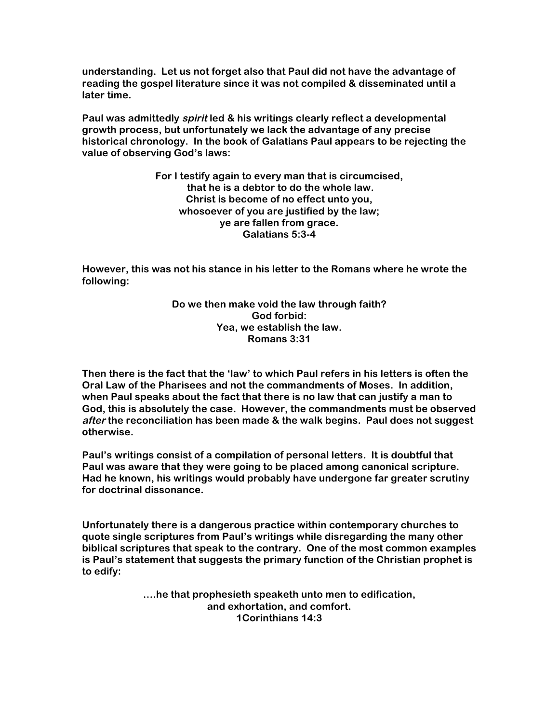**understanding. Let us not forget also that Paul did not have the advantage of reading the gospel literature since it was not compiled & disseminated until a later time.**

**Paul was admittedly spirit led & his writings clearly reflect a developmental growth process, but unfortunately we lack the advantage of any precise historical chronology. In the book of Galatians Paul appears to be rejecting the value of observing God's laws:**

> **For I testify again to every man that is circumcised, that he is a debtor to do the whole law. Christ is become of no effect unto you, whosoever of you are justified by the law; ye are fallen from grace. Galatians 5:3-4**

**However, this was not his stance in his letter to the Romans where he wrote the following:**

> **Do we then make void the law through faith? God forbid: Yea, we establish the law. Romans 3:31**

**Then there is the fact that the 'law' to which Paul refers in his letters is often the Oral Law of the Pharisees and not the commandments of Moses. In addition, when Paul speaks about the fact that there is no law that can justify a man to God, this is absolutely the case. However, the commandments must be observed after the reconciliation has been made & the walk begins. Paul does not suggest otherwise.**

**Paul's writings consist of a compilation of personal letters. It is doubtful that Paul was aware that they were going to be placed among canonical scripture. Had he known, his writings would probably have undergone far greater scrutiny for doctrinal dissonance.**

**Unfortunately there is a dangerous practice within contemporary churches to quote single scriptures from Paul's writings while disregarding the many other biblical scriptures that speak to the contrary. One of the most common examples is Paul's statement that suggests the primary function of the Christian prophet is to edify:** 

> **….he that prophesieth speaketh unto men to edification, and exhortation, and comfort. 1Corinthians 14:3**